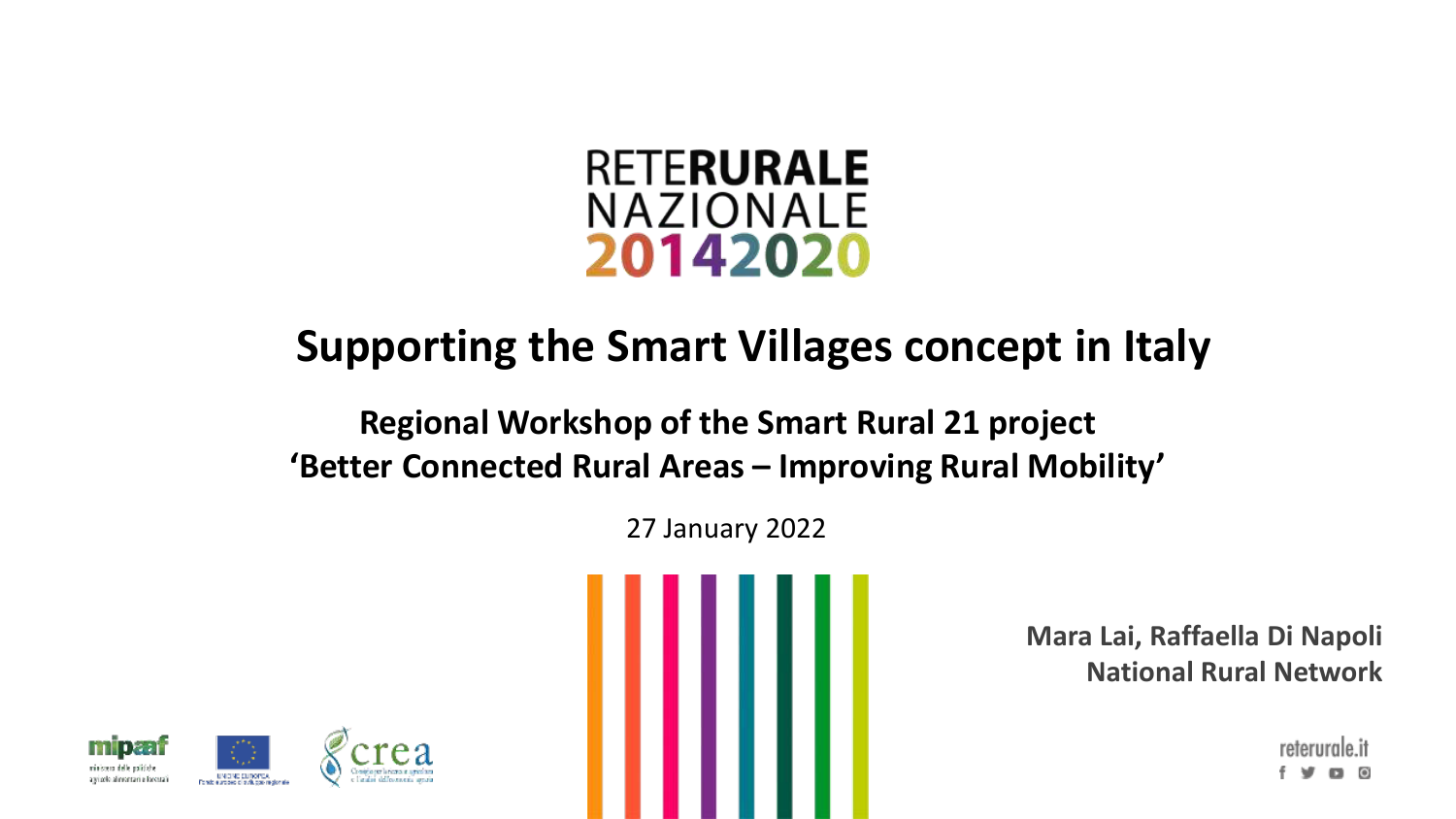

# **Supporting the Smart Villages concept in Italy**

#### **Regional Workshop of the Smart Rural 21 project 'Better Connected Rural Areas – Improving Rural Mobility'**

27 January 2022



**Mara Lai, Raffaella Di Napoli National Rural Network**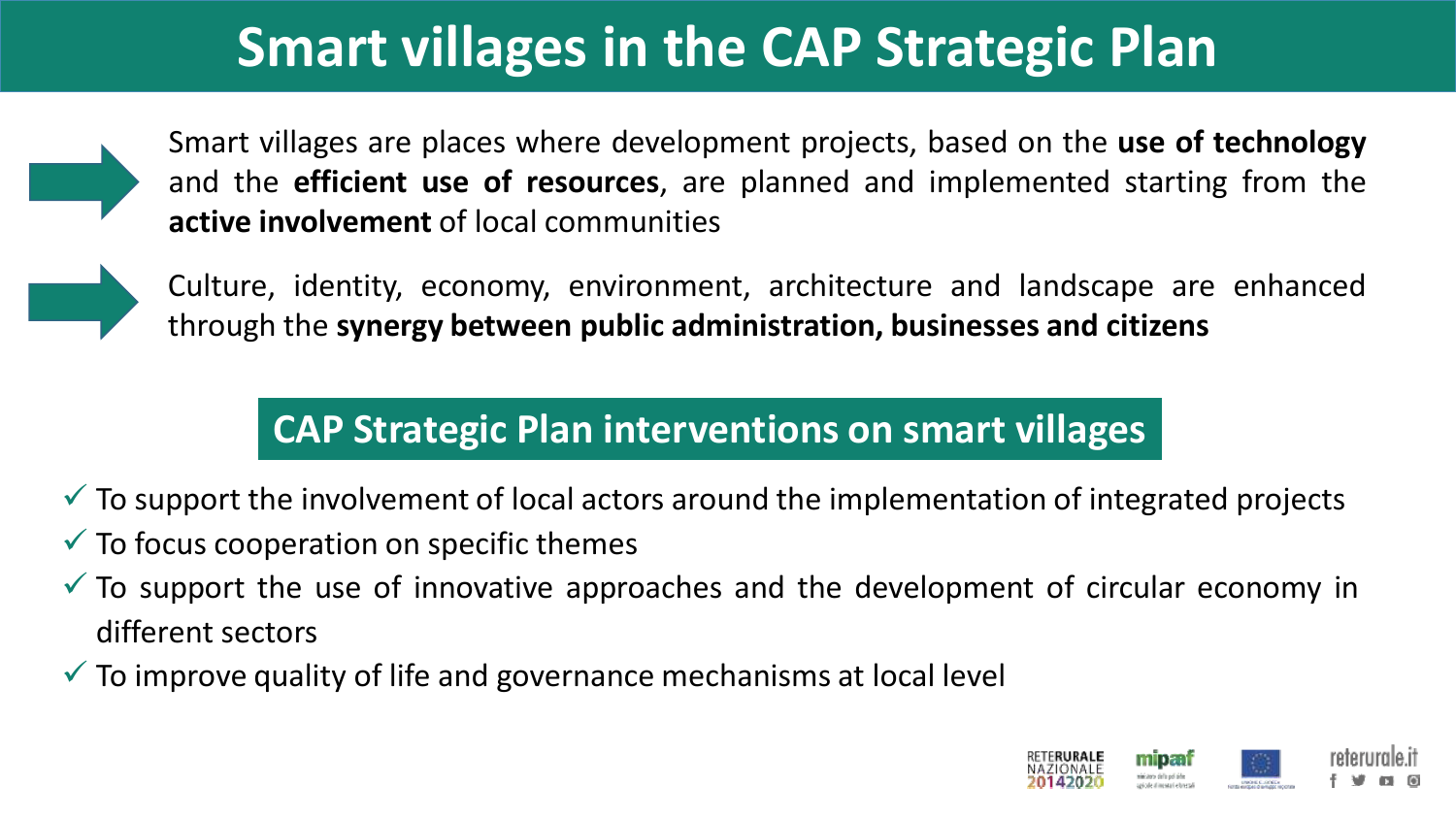# **Smart villages in the CAP Strategic Plan**

Smart villages are places where development projects, based on the **use of technology** and the **efficient use of resources**, are planned and implemented starting from the **active involvement** of local communities



Culture, identity, economy, environment, architecture and landscape are enhanced through the **synergy between public administration, businesses and citizens**

# **CAP Strategic Plan interventions on smart villages**

- $\checkmark$  To support the involvement of local actors around the implementation of integrated projects
- $\checkmark$  To focus cooperation on specific themes
- $\checkmark$  To support the use of innovative approaches and the development of circular economy in different sectors
- $\checkmark$  To improve quality of life and governance mechanisms at local level

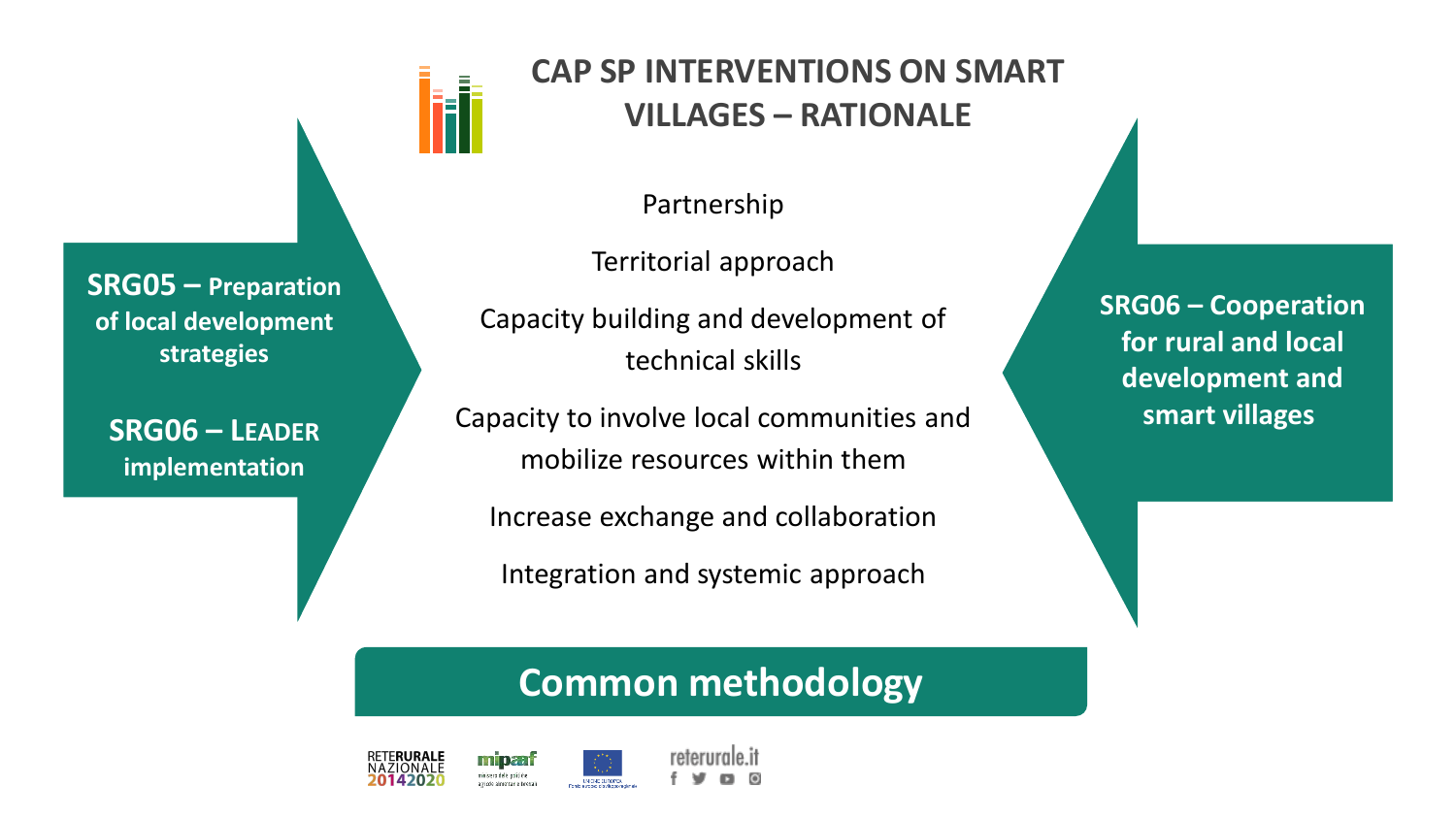

**SRG06 – LEADER implementation**



#### **CAP SP INTERVENTIONS ON SMART VILLAGES – RATIONALE**

Partnership

Territorial approach

Capacity building and development of technical skills

Capacity to involve local communities and mobilize resources within them

Increase exchange and collaboration

Integration and systemic approach

### **Common methodology**



**SRG06 – Cooperation for rural and local development and smart villages**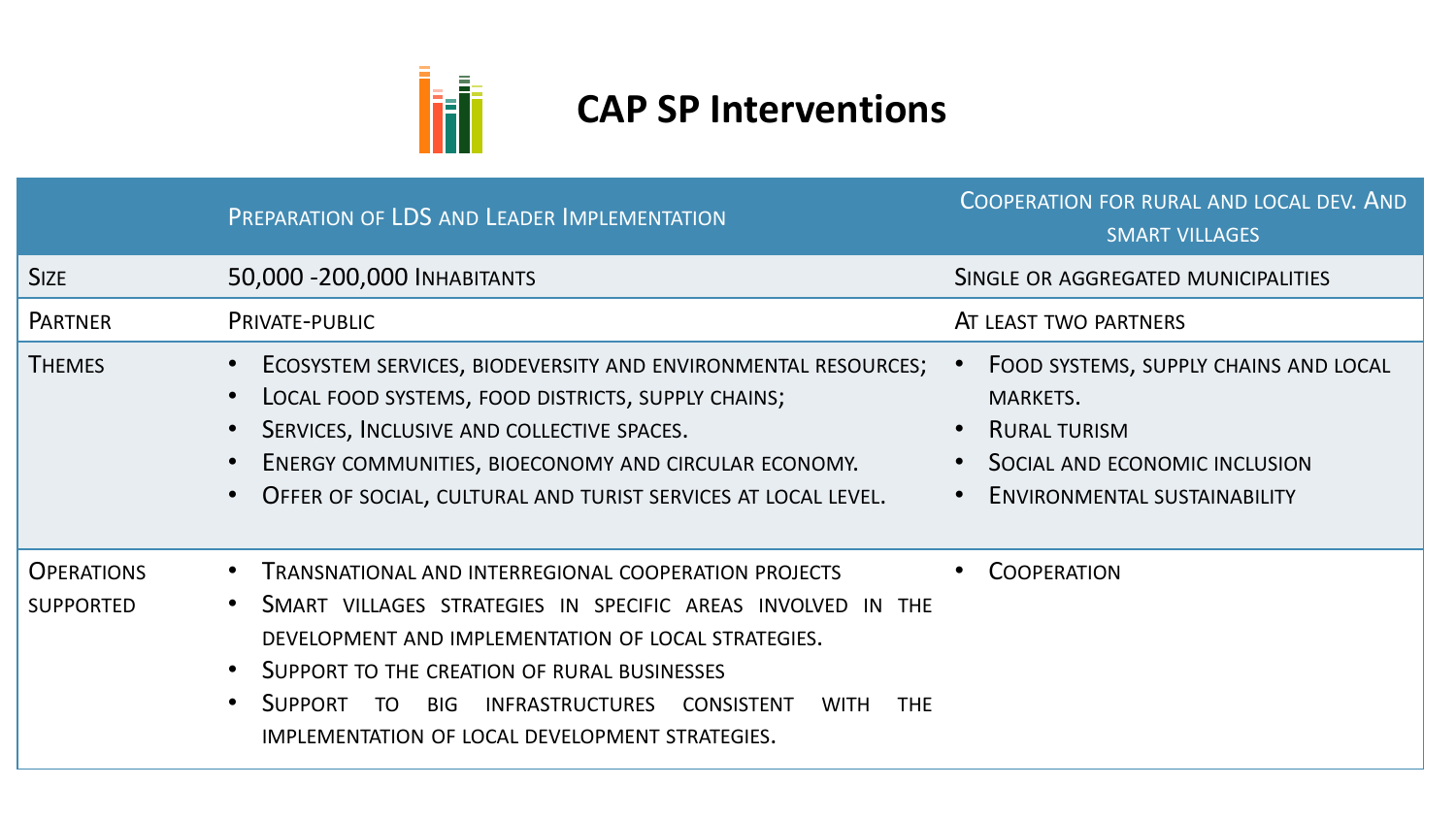

# **CAP SP Interventions**

|                                       | PREPARATION OF LDS AND LEADER IMPLEMENTATION                                                                                                                                                                                                                                                                                                                            | COOPERATION FOR RURAL AND LOCAL DEV. AND<br><b>SMART VILLAGES</b>                                                                                |
|---------------------------------------|-------------------------------------------------------------------------------------------------------------------------------------------------------------------------------------------------------------------------------------------------------------------------------------------------------------------------------------------------------------------------|--------------------------------------------------------------------------------------------------------------------------------------------------|
| <b>SIZE</b>                           | 50,000 - 200,000 INHABITANTS                                                                                                                                                                                                                                                                                                                                            | SINGLE OR AGGREGATED MUNICIPALITIES                                                                                                              |
| <b>PARTNER</b>                        | <b>PRIVATE-PUBLIC</b>                                                                                                                                                                                                                                                                                                                                                   | AT LEAST TWO PARTNERS                                                                                                                            |
| <b>THEMES</b>                         | ECOSYSTEM SERVICES, BIODEVERSITY AND ENVIRONMENTAL RESOURCES;<br>LOCAL FOOD SYSTEMS, FOOD DISTRICTS, SUPPLY CHAINS;<br>SERVICES, INCLUSIVE AND COLLECTIVE SPACES.<br>ENERGY COMMUNITIES, BIOECONOMY AND CIRCULAR ECONOMY.<br>OFFER OF SOCIAL, CULTURAL AND TURIST SERVICES AT LOCAL LEVEL.                                                                              | FOOD SYSTEMS, SUPPLY CHAINS AND LOCAL<br>MARKETS.<br><b>RURAL TURISM</b><br>SOCIAL AND ECONOMIC INCLUSION<br><b>ENVIRONMENTAL SUSTAINABILITY</b> |
| <b>OPERATIONS</b><br><b>SUPPORTED</b> | <b>TRANSNATIONAL AND INTERREGIONAL COOPERATION PROJECTS</b><br>SMART VILLAGES STRATEGIES IN SPECIFIC AREAS INVOLVED IN THE<br>DEVELOPMENT AND IMPLEMENTATION OF LOCAL STRATEGIES.<br>SUPPORT TO THE CREATION OF RURAL BUSINESSES<br><b>SUPPORT</b><br>TO BIG INFRASTRUCTURES CONSISTENT<br><b>WITH</b><br><b>THE</b><br>IMPLEMENTATION OF LOCAL DEVELOPMENT STRATEGIES. | <b>COOPERATION</b>                                                                                                                               |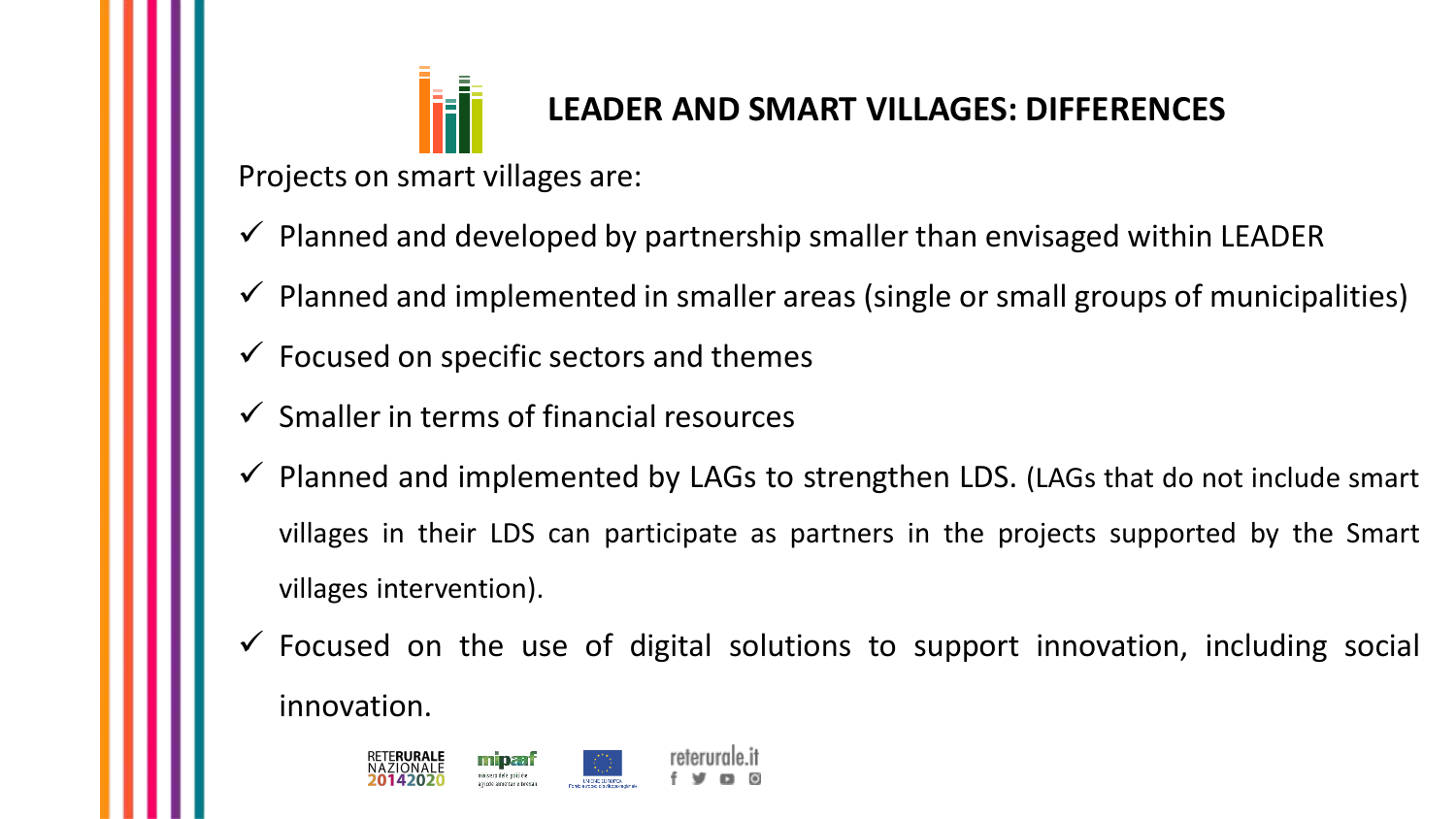

## **LEADER AND SMART VILLAGES: DIFFERENCES**

Projects on smart villages are:

- $\checkmark$  Planned and developed by partnership smaller than envisaged within LEADER
- $\checkmark$  Planned and implemented in smaller areas (single or small groups of municipalities)
- $\checkmark$  Focused on specific sectors and themes
- $\checkmark$  Smaller in terms of financial resources
- $\checkmark$  Planned and implemented by LAGs to strengthen LDS. (LAGs that do not include smart villages in their LDS can participate as partners in the projects supported by the Smart villages intervention).
- $\checkmark$  Focused on the use of digital solutions to support innovation, including social innovation.

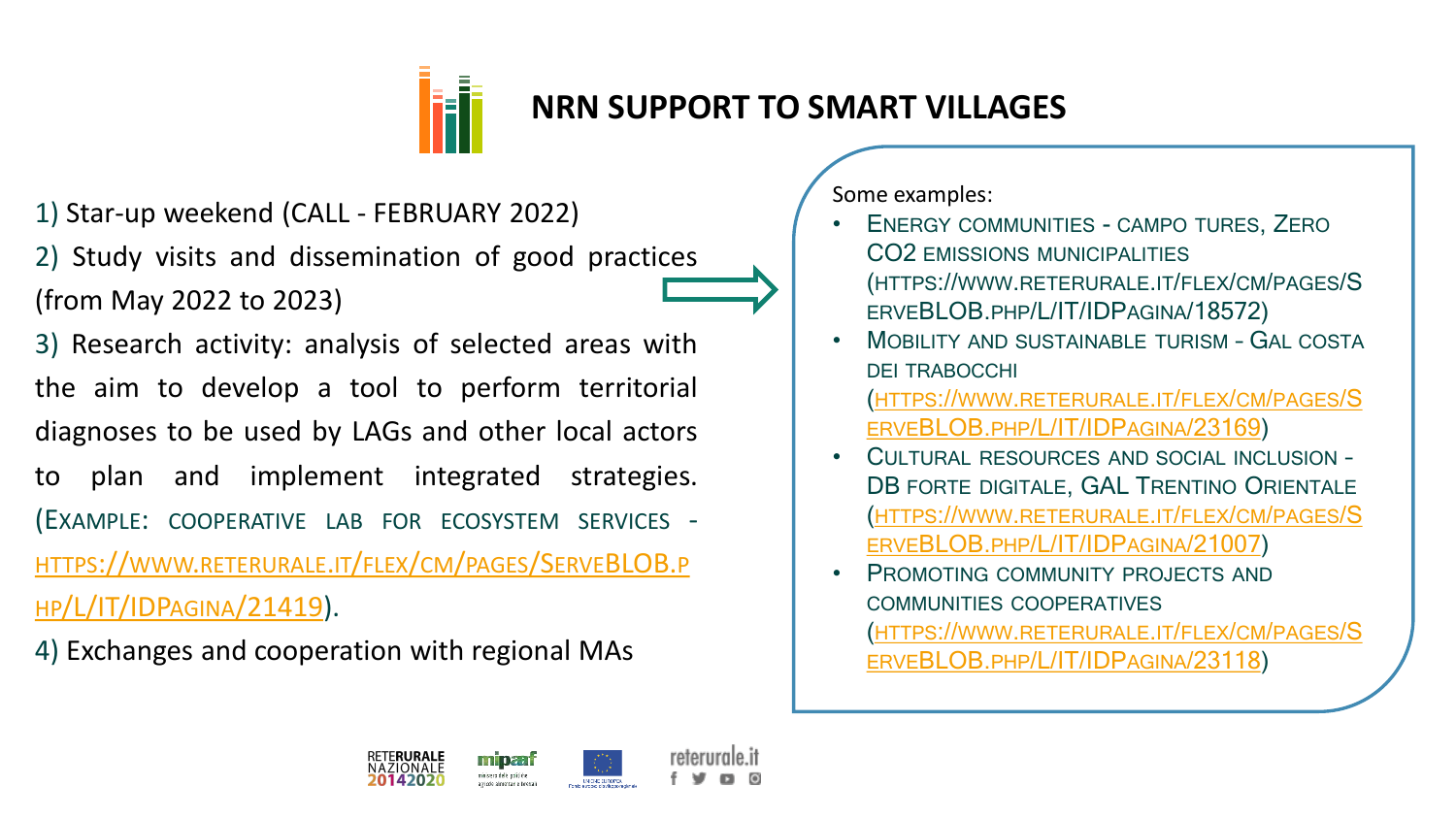

#### **NRN SUPPORT TO SMART VILLAGES**

1) Star-up weekend (CALL - FEBRUARY 2022)

2) Study visits and dissemination of good practices (from May 2022 to 2023)

3) Research activity: analysis of selected areas with the aim to develop a tool to perform territorial diagnoses to be used by LAGs and other local actors to plan and implement integrated strategies. (EXAMPLE: COOPERATIVE LAB FOR ECOSYSTEM SERVICES - HTTPS://WWW.[RETERURALE](https://www.reterurale.it/flex/cm/pages/ServeBLOB.php/L/IT/IDPagina/21419).IT/FLEX/CM/PAGES/SERVEBLOB.P HP/L/IT/IDPAGINA/21419).

4) Exchanges and cooperation with regional MAs

Some examples:

- ENERGY COMMUNITIES CAMPO TURES, ZERO CO2 EMISSIONS MUNICIPALITIES (HTTPS://WWW.RETERURALE.IT/FLEX/CM/PAGES/S ERVEBLOB.PHP/L/IT/IDPAGINA/18572)
- MOBILITY AND SUSTAINABLE TURISM GAL COSTA DEI TRABOCCHI (HTTPS://WWW.[RETERURALE](https://www.reterurale.it/flex/cm/pages/ServeBLOB.php/L/IT/IDPagina/23169).IT/FLEX/CM/PAGES/S ERVEBLOB.PHP/L/IT/IDPAGINA/23169)
- CULTURAL RESOURCES AND SOCIAL INCLUSION DB FORTE DIGITALE, GAL TRENTINO ORIENTALE (HTTPS://WWW.[RETERURALE](https://www.reterurale.it/flex/cm/pages/ServeBLOB.php/L/IT/IDPagina/21007).IT/FLEX/CM/PAGES/S ERVEBLOB.PHP/L/IT/IDPAGINA/21007)
- PROMOTING COMMUNITY PROJECTS AND COMMUNITIES COOPERATIVES (HTTPS://WWW.[RETERURALE](https://www.reterurale.it/flex/cm/pages/ServeBLOB.php/L/IT/IDPagina/23118).IT/FLEX/CM/PAGES/S ERVEBLOB.PHP/L/IT/IDPAGINA/23118)